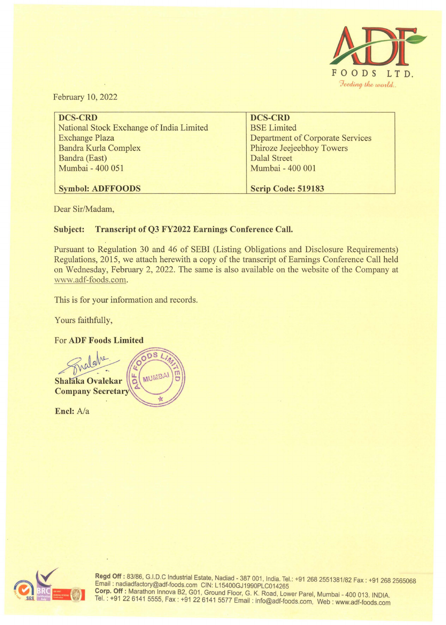

February 10, 2022

| DCS-CRD                                  | <b>DCS-CRD</b>                          |
|------------------------------------------|-----------------------------------------|
| National Stock Exchange of India Limited | <b>BSE Limited</b>                      |
| <b>Exchange Plaza</b>                    | <b>Department of Corporate Services</b> |
| Bandra Kurla Complex                     | Phiroze Jeejeebhoy Towers               |
| Bandra (East)                            | <b>Dalal Street</b>                     |
| Mumbai - 400 051                         | Mumbai - 400 001                        |
|                                          |                                         |
| <b>Symbol: ADFFOODS</b>                  | <b>Scrip Code: 519183</b>               |

Dear Sir/Madam,

# **Subject: Transcript of Q3 FY2022 Earnings Conference Call.**

Pursuant to Regulation 30 and 46 of SEBI (Listing Obligations and Disclosure Requirements) Regulations, 2015, we attach herewith a copy of the transcript of Earnings Conference Call held on Wednesday, February 2, 2022. The same is also available on the website of the Company at www.adf-foods.com.

This is for your information and records.

Yours faithfully,

## For **ADF Foods Limited**



**Encl:** A/a



Regd Off: 83/86, G.I.D.C Industrial Estate, Nadiad - 387 001, India. Tel.: +91 268 2551381/82 Fax : +91 268 2565068 Email : nadiadfactory@adf-foods.com CIN: L15400GJ1990PLC014265 **Cor~. Off:** Marathon lnnova B2, G01, Ground Floor, G. K. Road , Lower Parel, Mumbai - 400 013. INDIA. Tel. . +91 22 6141 5555, Fax : +91226141 5577 Email : info@adf-foods.com, Web : www.adf-foods.com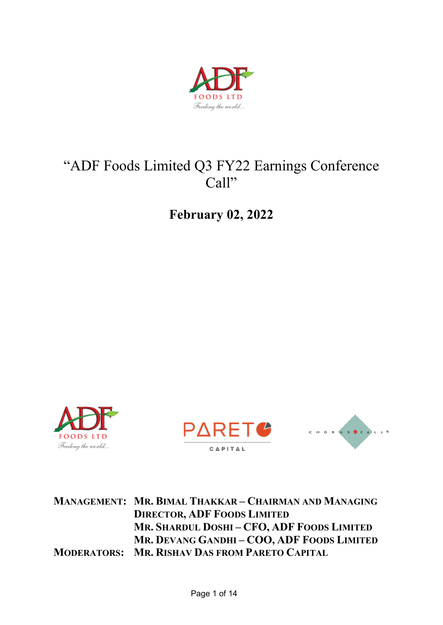

# "ADF Foods Limited Q3 FY22 Earnings Conference Call"

**February 02, 2022** 







**MANAGEMENT: MR. BIMAL THAKKAR – CHAIRMAN AND MANAGING DIRECTOR, ADF FOODS LIMITED MR. SHARDUL DOSHI – CFO, ADF FOODS LIMITED MR. DEVANG GANDHI – COO, ADF FOODS LIMITED MODERATORS: MR. RISHAV DAS FROM PARETO CAPITAL**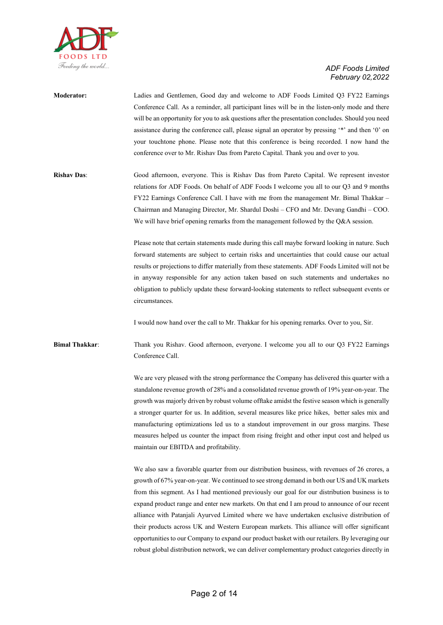

| <b>Moderator:</b>  | Ladies and Gentlemen, Good day and welcome to ADF Foods Limited Q3 FY22 Earnings                  |
|--------------------|---------------------------------------------------------------------------------------------------|
|                    | Conference Call. As a reminder, all participant lines will be in the listen-only mode and there   |
|                    | will be an opportunity for you to ask questions after the presentation concludes. Should you need |
|                    | assistance during the conference call, please signal an operator by pressing "*" and then '0" on  |
|                    | your touchtone phone. Please note that this conference is being recorded. I now hand the          |
|                    | conference over to Mr. Rishav Das from Pareto Capital. Thank you and over to you.                 |
|                    |                                                                                                   |
| <b>Rishav Das:</b> | Good afternoon, everyone. This is Rishav Das from Pareto Capital. We represent investor           |
|                    | relations for ADF Foods. On behalf of ADF Foods I welcome you all to our Q3 and 9 months          |
|                    | FY22 Earnings Conference Call. I have with me from the management Mr. Bimal Thakkar –             |
|                    | Chairman and Managing Director, Mr. Shardul Doshi – CFO and Mr. Devang Gandhi – COO.              |
|                    | We will have brief opening remarks from the management followed by the Q&A session.               |
|                    |                                                                                                   |
|                    | Please note that certain statements made during this call maybe forward looking in nature. Such   |
|                    | forward statements are subject to certain risks and uncertainties that could cause our actual     |

ard statements are subject to certain risks and uncertainties that could cause our actual results or projections to differ materially from these statements. ADF Foods Limited will not be in anyway responsible for any action taken based on such statements and undertakes no obligation to publicly update these forward-looking statements to reflect subsequent events or circumstances.

I would now hand over the call to Mr. Thakkar for his opening remarks. Over to you, Sir.

**Bimal Thakkar**: Thank you Rishav. Good afternoon, everyone. I welcome you all to our Q3 FY22 Earnings Conference Call.

> We are very pleased with the strong performance the Company has delivered this quarter with a standalone revenue growth of 28% and a consolidated revenue growth of 19% year-on-year. The growth was majorly driven by robust volume offtake amidst the festive season which is generally a stronger quarter for us. In addition, several measures like price hikes, better sales mix and manufacturing optimizations led us to a standout improvement in our gross margins. These measures helped us counter the impact from rising freight and other input cost and helped us maintain our EBITDA and profitability.

> We also saw a favorable quarter from our distribution business, with revenues of 26 crores, a growth of 67% year-on-year. We continued to see strong demand in both our US and UK markets from this segment. As I had mentioned previously our goal for our distribution business is to expand product range and enter new markets. On that end I am proud to announce of our recent alliance with Patanjali Ayurved Limited where we have undertaken exclusive distribution of their products across UK and Western European markets. This alliance will offer significant opportunities to our Company to expand our product basket with our retailers. By leveraging our robust global distribution network, we can deliver complementary product categories directly in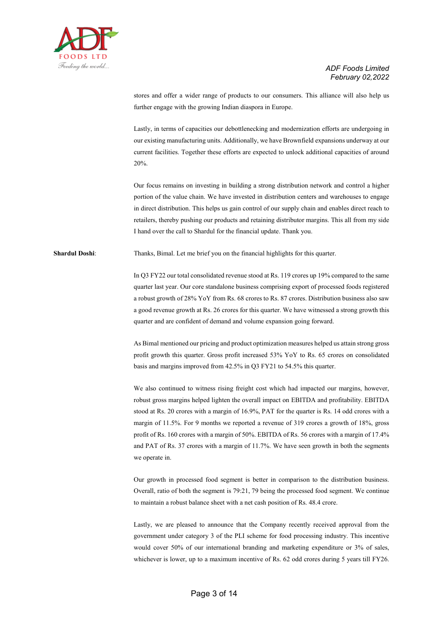

stores and offer a wider range of products to our consumers. This alliance will also help us further engage with the growing Indian diaspora in Europe.

Lastly, in terms of capacities our debottlenecking and modernization efforts are undergoing in our existing manufacturing units. Additionally, we have Brownfield expansions underway at our current facilities. Together these efforts are expected to unlock additional capacities of around 20%.

Our focus remains on investing in building a strong distribution network and control a higher portion of the value chain. We have invested in distribution centers and warehouses to engage in direct distribution. This helps us gain control of our supply chain and enables direct reach to retailers, thereby pushing our products and retaining distributor margins. This all from my side I hand over the call to Shardul for the financial update. Thank you.

**Shardul Doshi**: Thanks, Bimal. Let me brief you on the financial highlights for this quarter.

In Q3 FY22 our total consolidated revenue stood at Rs. 119 crores up 19% compared to the same quarter last year. Our core standalone business comprising export of processed foods registered a robust growth of 28% YoY from Rs. 68 crores to Rs. 87 crores. Distribution business also saw a good revenue growth at Rs. 26 crores for this quarter. We have witnessed a strong growth this quarter and are confident of demand and volume expansion going forward.

As Bimal mentioned our pricing and product optimization measures helped us attain strong gross profit growth this quarter. Gross profit increased 53% YoY to Rs. 65 crores on consolidated basis and margins improved from 42.5% in Q3 FY21 to 54.5% this quarter.

We also continued to witness rising freight cost which had impacted our margins, however, robust gross margins helped lighten the overall impact on EBITDA and profitability. EBITDA stood at Rs. 20 crores with a margin of 16.9%, PAT for the quarter is Rs. 14 odd crores with a margin of 11.5%. For 9 months we reported a revenue of 319 crores a growth of 18%, gross profit of Rs. 160 crores with a margin of 50%. EBITDA of Rs. 56 crores with a margin of 17.4% and PAT of Rs. 37 crores with a margin of 11.7%. We have seen growth in both the segments we operate in.

Our growth in processed food segment is better in comparison to the distribution business. Overall, ratio of both the segment is 79:21, 79 being the processed food segment. We continue to maintain a robust balance sheet with a net cash position of Rs. 48.4 crore.

Lastly, we are pleased to announce that the Company recently received approval from the government under category 3 of the PLI scheme for food processing industry. This incentive would cover 50% of our international branding and marketing expenditure or 3% of sales, whichever is lower, up to a maximum incentive of Rs. 62 odd crores during 5 years till FY26.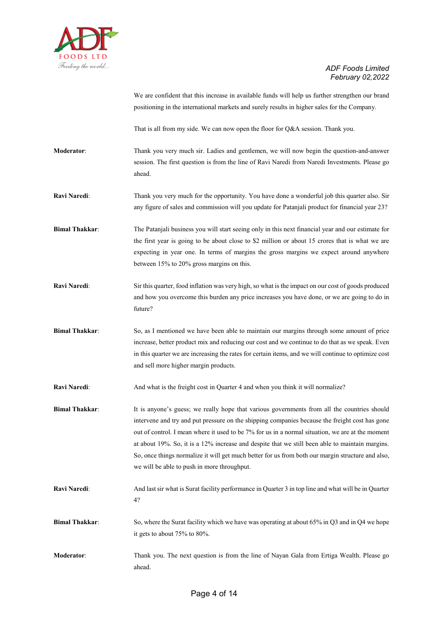

We are confident that this increase in available funds will help us further strengthen our brand positioning in the international markets and surely results in higher sales for the Company.

That is all from my side. We can now open the floor for Q&A session. Thank you.

- **Moderator**: Thank you very much sir. Ladies and gentlemen, we will now begin the question-and-answer session. The first question is from the line of Ravi Naredi from Naredi Investments. Please go ahead.
- **Ravi Naredi**: Thank you very much for the opportunity. You have done a wonderful job this quarter also. Sir any figure of sales and commission will you update for Patanjali product for financial year 23?
- **Bimal Thakkar:** The Patanjali business you will start seeing only in this next financial year and our estimate for the first year is going to be about close to \$2 million or about 15 crores that is what we are expecting in year one. In terms of margins the gross margins we expect around anywhere between 15% to 20% gross margins on this.
- **Ravi Naredi**: Sir this quarter, food inflation was very high, so what is the impact on our cost of goods produced and how you overcome this burden any price increases you have done, or we are going to do in future?
- **Bimal Thakkar:** So, as I mentioned we have been able to maintain our margins through some amount of price increase, better product mix and reducing our cost and we continue to do that as we speak. Even in this quarter we are increasing the rates for certain items, and we will continue to optimize cost and sell more higher margin products.
- **Ravi Naredi:** And what is the freight cost in Quarter 4 and when you think it will normalize?
- **Bimal Thakkar:** It is anyone's guess; we really hope that various governments from all the countries should intervene and try and put pressure on the shipping companies because the freight cost has gone out of control. I mean where it used to be 7% for us in a normal situation, we are at the moment at about 19%. So, it is a 12% increase and despite that we still been able to maintain margins. So, once things normalize it will get much better for us from both our margin structure and also, we will be able to push in more throughput.
- **Ravi Naredi**: And last sir what is Surat facility performance in Quarter 3 in top line and what will be in Quarter 4?
- **Bimal Thakkar:** So, where the Surat facility which we have was operating at about 65% in Q3 and in Q4 we hope it gets to about 75% to 80%.
- **Moderator**: Thank you. The next question is from the line of Nayan Gala from Ertiga Wealth. Please go ahead.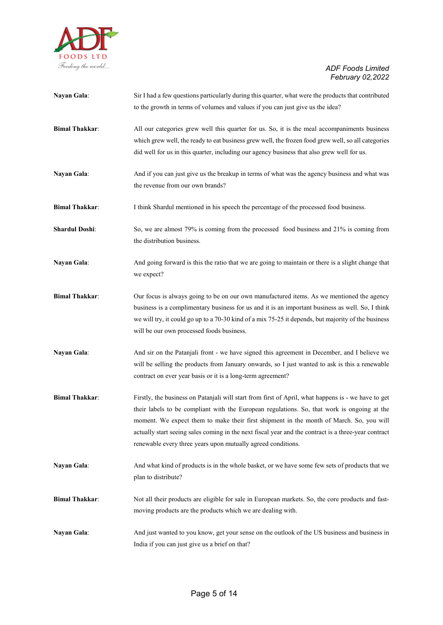

| Nayan Gala:           | Sir I had a few questions particularly during this quarter, what were the products that contributed                                                                                    |
|-----------------------|----------------------------------------------------------------------------------------------------------------------------------------------------------------------------------------|
|                       | to the growth in terms of volumes and values if you can just give us the idea?                                                                                                         |
| <b>Bimal Thakkar:</b> | All our categories grew well this quarter for us. So, it is the meal accompaniments business                                                                                           |
|                       | which grew well, the ready to eat business grew well, the frozen food grew well, so all categories                                                                                     |
|                       | did well for us in this quarter, including our agency business that also grew well for us.                                                                                             |
| Nayan Gala:           | And if you can just give us the breakup in terms of what was the agency business and what was                                                                                          |
|                       | the revenue from our own brands?                                                                                                                                                       |
| <b>Bimal Thakkar:</b> | I think Shardul mentioned in his speech the percentage of the processed food business.                                                                                                 |
| <b>Shardul Doshi:</b> | So, we are almost 79% is coming from the processed food business and 21% is coming from<br>the distribution business.                                                                  |
| Nayan Gala:           | And going forward is this the ratio that we are going to maintain or there is a slight change that<br>we expect?                                                                       |
| <b>Bimal Thakkar:</b> | Our focus is always going to be on our own manufactured items. As we mentioned the agency                                                                                              |
|                       | business is a complimentary business for us and it is an important business as well. So, I think                                                                                       |
|                       | we will try, it could go up to a 70-30 kind of a mix 75-25 it depends, but majority of the business                                                                                    |
|                       | will be our own processed foods business.                                                                                                                                              |
| Nayan Gala:           | And sir on the Patanjali front - we have signed this agreement in December, and I believe we                                                                                           |
|                       | will be selling the products from January onwards, so I just wanted to ask is this a renewable                                                                                         |
|                       | contract on ever year basis or it is a long-term agreement?                                                                                                                            |
| <b>Bimal Thakkar:</b> | Firstly, the business on Patanjali will start from first of April, what happens is - we have to get                                                                                    |
|                       | their labels to be compliant with the European regulations. So, that work is ongoing at the<br>moment. We expect them to make their first shipment in the month of March. So, you will |
|                       | actually start seeing sales coming in the next fiscal year and the contract is a three-year contract                                                                                   |
|                       | renewable every three years upon mutually agreed conditions.                                                                                                                           |
| Nayan Gala:           | And what kind of products is in the whole basket, or we have some few sets of products that we                                                                                         |
|                       | plan to distribute?                                                                                                                                                                    |
| <b>Bimal Thakkar:</b> | Not all their products are eligible for sale in European markets. So, the core products and fast-                                                                                      |
|                       | moving products are the products which we are dealing with.                                                                                                                            |
| Nayan Gala:           | And just wanted to you know, get your sense on the outlook of the US business and business in                                                                                          |
|                       | India if you can just give us a brief on that?                                                                                                                                         |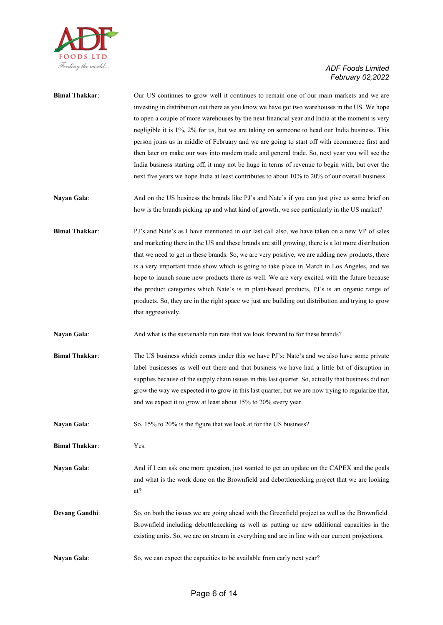

| <b>Bimal Thakkar:</b> | Our US continues to grow well it continues to remain one of our main markets and we are<br>investing in distribution out there as you know we have got two warehouses in the US. We hope<br>to open a couple of more warehouses by the next financial year and India at the moment is very<br>negligible it is 1%, 2% for us, but we are taking on someone to head our India business. This<br>person joins us in middle of February and we are going to start off with ecommerce first and<br>then later on make our way into modern trade and general trade. So, next year you will see the<br>India business starting off, it may not be huge in terms of revenue to begin with, but over the<br>next five years we hope India at least contributes to about 10% to 20% of our overall business. |
|-----------------------|-----------------------------------------------------------------------------------------------------------------------------------------------------------------------------------------------------------------------------------------------------------------------------------------------------------------------------------------------------------------------------------------------------------------------------------------------------------------------------------------------------------------------------------------------------------------------------------------------------------------------------------------------------------------------------------------------------------------------------------------------------------------------------------------------------|
| Nayan Gala:           | And on the US business the brands like PJ's and Nate's if you can just give us some brief on<br>how is the brands picking up and what kind of growth, we see particularly in the US market?                                                                                                                                                                                                                                                                                                                                                                                                                                                                                                                                                                                                         |
| <b>Bimal Thakkar:</b> | PJ's and Nate's as I have mentioned in our last call also, we have taken on a new VP of sales<br>and marketing there in the US and these brands are still growing, there is a lot more distribution<br>that we need to get in these brands. So, we are very positive, we are adding new products, there<br>is a very important trade show which is going to take place in March in Los Angeles, and we<br>hope to launch some new products there as well. We are very excited with the future because<br>the product categories which Nate's is in plant-based products, PJ's is an organic range of<br>products. So, they are in the right space we just are building out distribution and trying to grow<br>that aggressively.                                                                    |
| Nayan Gala:           | And what is the sustainable run rate that we look forward to for these brands?                                                                                                                                                                                                                                                                                                                                                                                                                                                                                                                                                                                                                                                                                                                      |
| <b>Bimal Thakkar:</b> | The US business which comes under this we have PJ's; Nate's and we also have some private<br>label businesses as well out there and that business we have had a little bit of disruption in<br>supplies because of the supply chain issues in this last quarter. So, actually that business did not<br>grow the way we expected it to grow in this last quarter, but we are now trying to regularize that,<br>and we expect it to grow at least about 15% to 20% every year.                                                                                                                                                                                                                                                                                                                        |
| Nayan Gala:           | So, 15% to 20% is the figure that we look at for the US business?                                                                                                                                                                                                                                                                                                                                                                                                                                                                                                                                                                                                                                                                                                                                   |
| <b>Bimal Thakkar:</b> | Yes.                                                                                                                                                                                                                                                                                                                                                                                                                                                                                                                                                                                                                                                                                                                                                                                                |
| Nayan Gala:           | And if I can ask one more question, just wanted to get an update on the CAPEX and the goals<br>and what is the work done on the Brownfield and debottlenecking project that we are looking<br>at?                                                                                                                                                                                                                                                                                                                                                                                                                                                                                                                                                                                                   |
| <b>Devang Gandhi:</b> | So, on both the issues we are going ahead with the Greenfield project as well as the Brownfield.<br>Brownfield including debottlenecking as well as putting up new additional capacities in the<br>existing units. So, we are on stream in everything and are in line with our current projections.                                                                                                                                                                                                                                                                                                                                                                                                                                                                                                 |
| Nayan Gala:           | So, we can expect the capacities to be available from early next year?                                                                                                                                                                                                                                                                                                                                                                                                                                                                                                                                                                                                                                                                                                                              |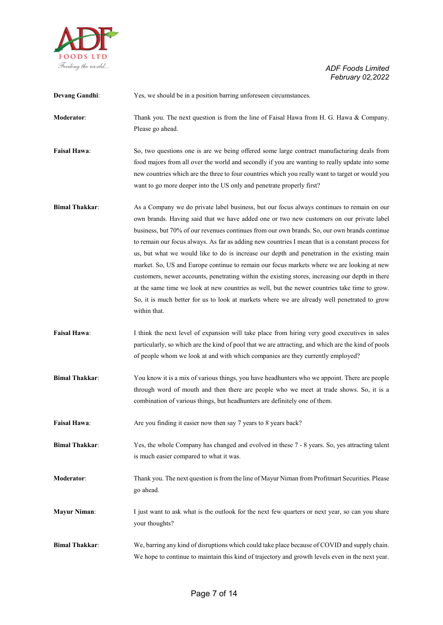

| <b>Devang Gandhi:</b> | Yes, we should be in a position barring unforeseen circumstances.                                                                                                                                                                                                                                                                                                                                                                                                                                                                                                                                                                                                                                                                                                                                                                                                                                            |
|-----------------------|--------------------------------------------------------------------------------------------------------------------------------------------------------------------------------------------------------------------------------------------------------------------------------------------------------------------------------------------------------------------------------------------------------------------------------------------------------------------------------------------------------------------------------------------------------------------------------------------------------------------------------------------------------------------------------------------------------------------------------------------------------------------------------------------------------------------------------------------------------------------------------------------------------------|
| <b>Moderator:</b>     | Thank you. The next question is from the line of Faisal Hawa from H. G. Hawa & Company.<br>Please go ahead.                                                                                                                                                                                                                                                                                                                                                                                                                                                                                                                                                                                                                                                                                                                                                                                                  |
| <b>Faisal Hawa:</b>   | So, two questions one is are we being offered some large contract manufacturing deals from<br>food majors from all over the world and secondly if you are wanting to really update into some<br>new countries which are the three to four countries which you really want to target or would you<br>want to go more deeper into the US only and penetrate properly first?                                                                                                                                                                                                                                                                                                                                                                                                                                                                                                                                    |
| <b>Bimal Thakkar:</b> | As a Company we do private label business, but our focus always continues to remain on our<br>own brands. Having said that we have added one or two new customers on our private label<br>business, but 70% of our revenues continues from our own brands. So, our own brands continue<br>to remain our focus always. As far as adding new countries I mean that is a constant process for<br>us, but what we would like to do is increase our depth and penetration in the existing main<br>market. So, US and Europe continue to remain our focus markets where we are looking at new<br>customers, newer accounts, penetrating within the existing stores, increasing our depth in there<br>at the same time we look at new countries as well, but the newer countries take time to grow.<br>So, it is much better for us to look at markets where we are already well penetrated to grow<br>within that. |
| <b>Faisal Hawa:</b>   | I think the next level of expansion will take place from hiring very good executives in sales<br>particularly, so which are the kind of pool that we are attracting, and which are the kind of pools<br>of people whom we look at and with which companies are they currently employed?                                                                                                                                                                                                                                                                                                                                                                                                                                                                                                                                                                                                                      |
| <b>Bimal Thakkar:</b> | You know it is a mix of various things, you have headhunters who we appoint. There are people<br>through word of mouth and then there are people who we meet at trade shows. So, it is a<br>combination of various things, but headhunters are definitely one of them.                                                                                                                                                                                                                                                                                                                                                                                                                                                                                                                                                                                                                                       |
| <b>Faisal Hawa:</b>   | Are you finding it easier now then say 7 years to 8 years back?                                                                                                                                                                                                                                                                                                                                                                                                                                                                                                                                                                                                                                                                                                                                                                                                                                              |
| <b>Bimal Thakkar:</b> | Yes, the whole Company has changed and evolved in these 7 - 8 years. So, yes attracting talent<br>is much easier compared to what it was.                                                                                                                                                                                                                                                                                                                                                                                                                                                                                                                                                                                                                                                                                                                                                                    |
| Moderator:            | Thank you. The next question is from the line of Mayur Niman from Profitmart Securities. Please<br>go ahead.                                                                                                                                                                                                                                                                                                                                                                                                                                                                                                                                                                                                                                                                                                                                                                                                 |
| <b>Mayur Niman:</b>   | I just want to ask what is the outlook for the next few quarters or next year, so can you share<br>your thoughts?                                                                                                                                                                                                                                                                                                                                                                                                                                                                                                                                                                                                                                                                                                                                                                                            |
| <b>Bimal Thakkar:</b> | We, barring any kind of disruptions which could take place because of COVID and supply chain.<br>We hope to continue to maintain this kind of trajectory and growth levels even in the next year.                                                                                                                                                                                                                                                                                                                                                                                                                                                                                                                                                                                                                                                                                                            |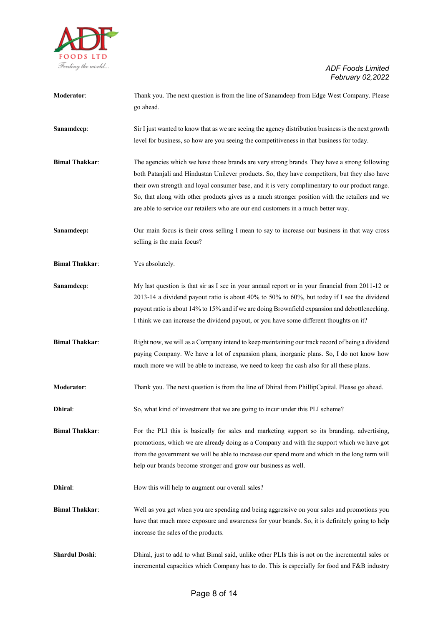

| Moderator:            | Thank you. The next question is from the line of Sanamdeep from Edge West Company. Please<br>go ahead.                                                                                                                                                                                                                                                                                                                                                                                 |
|-----------------------|----------------------------------------------------------------------------------------------------------------------------------------------------------------------------------------------------------------------------------------------------------------------------------------------------------------------------------------------------------------------------------------------------------------------------------------------------------------------------------------|
| Sanamdeep:            | Sir I just wanted to know that as we are seeing the agency distribution business is the next growth<br>level for business, so how are you seeing the competitiveness in that business for today.                                                                                                                                                                                                                                                                                       |
| <b>Bimal Thakkar:</b> | The agencies which we have those brands are very strong brands. They have a strong following<br>both Patanjali and Hindustan Unilever products. So, they have competitors, but they also have<br>their own strength and loyal consumer base, and it is very complimentary to our product range.<br>So, that along with other products gives us a much stronger position with the retailers and we<br>are able to service our retailers who are our end customers in a much better way. |
| Sanamdeep:            | Our main focus is their cross selling I mean to say to increase our business in that way cross<br>selling is the main focus?                                                                                                                                                                                                                                                                                                                                                           |
| <b>Bimal Thakkar:</b> | Yes absolutely.                                                                                                                                                                                                                                                                                                                                                                                                                                                                        |
| Sanamdeep:            | My last question is that sir as I see in your annual report or in your financial from 2011-12 or<br>2013-14 a dividend payout ratio is about 40% to 50% to 60%, but today if I see the dividend<br>payout ratio is about 14% to 15% and if we are doing Brownfield expansion and debottlenecking.<br>I think we can increase the dividend payout, or you have some different thoughts on it?                                                                                           |
| <b>Bimal Thakkar:</b> | Right now, we will as a Company intend to keep maintaining our track record of being a dividend<br>paying Company. We have a lot of expansion plans, inorganic plans. So, I do not know how<br>much more we will be able to increase, we need to keep the cash also for all these plans.                                                                                                                                                                                               |
| Moderator:            | Thank you. The next question is from the line of Dhiral from PhillipCapital. Please go ahead.                                                                                                                                                                                                                                                                                                                                                                                          |
| Dhiral:               | So, what kind of investment that we are going to incur under this PLI scheme?                                                                                                                                                                                                                                                                                                                                                                                                          |
| <b>Bimal Thakkar:</b> | For the PLI this is basically for sales and marketing support so its branding, advertising,<br>promotions, which we are already doing as a Company and with the support which we have got<br>from the government we will be able to increase our spend more and which in the long term will<br>help our brands become stronger and grow our business as well.                                                                                                                          |
| Dhiral:               | How this will help to augment our overall sales?                                                                                                                                                                                                                                                                                                                                                                                                                                       |
| <b>Bimal Thakkar:</b> | Well as you get when you are spending and being aggressive on your sales and promotions you<br>have that much more exposure and awareness for your brands. So, it is definitely going to help<br>increase the sales of the products.                                                                                                                                                                                                                                                   |
| <b>Shardul Doshi:</b> | Dhiral, just to add to what Bimal said, unlike other PLIs this is not on the incremental sales or<br>incremental capacities which Company has to do. This is especially for food and F&B industry                                                                                                                                                                                                                                                                                      |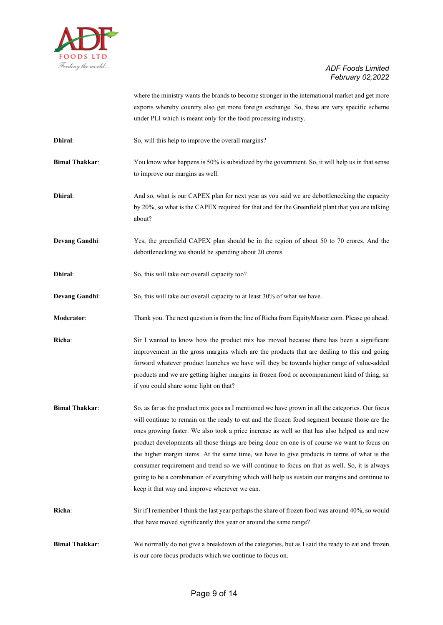

where the ministry wants the brands to become stronger in the international market and get more exports whereby country also get more foreign exchange. So, these are very specific scheme under PLI which is meant only for the food processing industry.

- **Dhiral:** So, will this help to improve the overall margins?
- **Bimal Thakkar:** You know what happens is 50% is subsidized by the government. So, it will help us in that sense to improve our margins as well.
- **Dhiral:** And so, what is our CAPEX plan for next year as you said we are debottlenecking the capacity by 20%, so what is the CAPEX required for that and for the Greenfield plant that you are talking about?
- **Devang Gandhi:** Yes, the greenfield CAPEX plan should be in the region of about 50 to 70 crores. And the debottlenecking we should be spending about 20 crores.
- **Dhiral:** So, this will take our overall capacity too?
- **Devang Gandhi:** So, this will take our overall capacity to at least 30% of what we have.
- **Moderator**: Thank you. The next question is from the line of Richa from EquityMaster.com. Please go ahead.
- **Richa**: Sir I wanted to know how the product mix has moved because there has been a significant improvement in the gross margins which are the products that are dealing to this and going forward whatever product launches we have will they be towards higher range of value-added products and we are getting higher margins in frozen food or accompaniment kind of thing, sir if you could share some light on that?
- **Bimal Thakkar:** So, as far as the product mix goes as I mentioned we have grown in all the categories. Our focus will continue to remain on the ready to eat and the frozen food segment because those are the ones growing faster. We also took a price increase as well so that has also helped us and new product developments all those things are being done on one is of course we want to focus on the higher margin items. At the same time, we have to give products in terms of what is the consumer requirement and trend so we will continue to focus on that as well. So, it is always going to be a combination of everything which will help us sustain our margins and continue to keep it that way and improve wherever we can.
- **Richa**: Sir if I remember I think the last year perhaps the share of frozen food was around 40%, so would that have moved significantly this year or around the same range?
- **Bimal Thakkar:** We normally do not give a breakdown of the categories, but as I said the ready to eat and frozen is our core focus products which we continue to focus on.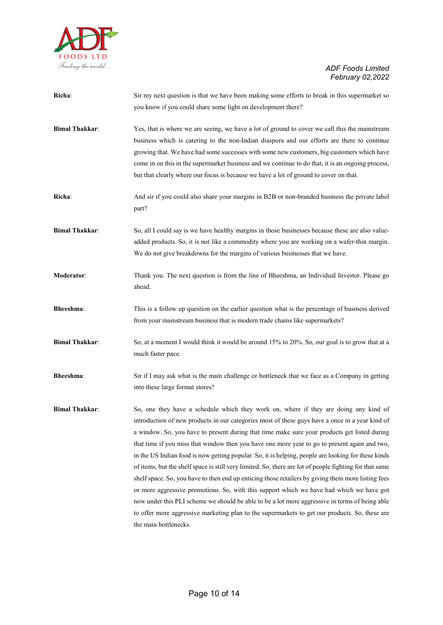

| Richa:                | Sir my next question is that we have been making some efforts to break in this supermarket so<br>you know if you could share some light on development there?                                                                                                                                                                                                                                                                                                                                                                                                                                                                                                                                                                                                                                                                                                                                                                                                                                                                             |
|-----------------------|-------------------------------------------------------------------------------------------------------------------------------------------------------------------------------------------------------------------------------------------------------------------------------------------------------------------------------------------------------------------------------------------------------------------------------------------------------------------------------------------------------------------------------------------------------------------------------------------------------------------------------------------------------------------------------------------------------------------------------------------------------------------------------------------------------------------------------------------------------------------------------------------------------------------------------------------------------------------------------------------------------------------------------------------|
| <b>Bimal Thakkar:</b> | Yes, that is where we are seeing, we have a lot of ground to cover we call this the mainstream<br>business which is catering to the non-Indian diaspora and our efforts are there to continue<br>growing that. We have had some successes with some new customers, big customers which have<br>come in on this in the supermarket business and we continue to do that, it is an ongoing process,<br>but that clearly where our focus is because we have a lot of ground to cover on that.                                                                                                                                                                                                                                                                                                                                                                                                                                                                                                                                                 |
| Richa:                | And sir if you could also share your margins in B2B or non-branded business the private label<br>part?                                                                                                                                                                                                                                                                                                                                                                                                                                                                                                                                                                                                                                                                                                                                                                                                                                                                                                                                    |
| <b>Bimal Thakkar:</b> | So, all I could say is we have healthy margins in those businesses because these are also value-<br>added products. So, it is not like a commodity where you are working on a wafer-thin margin.<br>We do not give breakdowns for the margins of various businesses that we have.                                                                                                                                                                                                                                                                                                                                                                                                                                                                                                                                                                                                                                                                                                                                                         |
| Moderator:            | Thank you. The next question is from the line of Bheeshma, an Individual Investor. Please go<br>ahead.                                                                                                                                                                                                                                                                                                                                                                                                                                                                                                                                                                                                                                                                                                                                                                                                                                                                                                                                    |
| Bheeshma:             | This is a follow up question on the earlier question what is the percentage of business derived<br>from your mainstream business that is modern trade chains like supermarkets?                                                                                                                                                                                                                                                                                                                                                                                                                                                                                                                                                                                                                                                                                                                                                                                                                                                           |
| <b>Bimal Thakkar:</b> | So, at a moment I would think it would be around 15% to 20%. So, our goal is to grow that at a<br>much faster pace.                                                                                                                                                                                                                                                                                                                                                                                                                                                                                                                                                                                                                                                                                                                                                                                                                                                                                                                       |
| Bheeshma:             | Sir if I may ask what is the main challenge or bottleneck that we face as a Company in getting<br>into these large format stores?                                                                                                                                                                                                                                                                                                                                                                                                                                                                                                                                                                                                                                                                                                                                                                                                                                                                                                         |
| <b>Bimal Thakkar:</b> | So, one they have a schedule which they work on, where if they are doing any kind of<br>introduction of new products in our categories most of these guys have a once in a year kind of<br>a window. So, you have to present during that time make sure your products get listed during<br>that time if you miss that window then you have one more year to go to present again and two,<br>in the US Indian food is now getting popular. So, it is helping, people are looking for these kinds<br>of items, but the shelf space is still very limited. So, there are lot of people fighting for that same<br>shelf space. So, you have to then end up enticing those retailers by giving them more listing fees<br>or more aggressive promotions. So, with this support which we have had which we have got<br>now under this PLI scheme we should be able to be a lot more aggressive in terms of being able<br>to offer more aggressive marketing plan to the supermarkets to get our products. So, these are<br>the main bottlenecks. |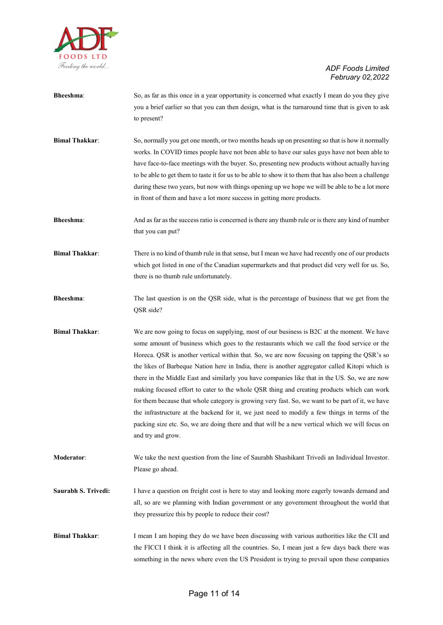

| Bheeshma:             | So, as far as this once in a year opportunity is concerned what exactly I mean do you they give<br>you a brief earlier so that you can then design, what is the turnaround time that is given to ask<br>to present?                                                                                                                                                                                                                                                                                                                                                                                                                                                                                                                                                                                                                                                                                                     |
|-----------------------|-------------------------------------------------------------------------------------------------------------------------------------------------------------------------------------------------------------------------------------------------------------------------------------------------------------------------------------------------------------------------------------------------------------------------------------------------------------------------------------------------------------------------------------------------------------------------------------------------------------------------------------------------------------------------------------------------------------------------------------------------------------------------------------------------------------------------------------------------------------------------------------------------------------------------|
| <b>Bimal Thakkar:</b> | So, normally you get one month, or two months heads up on presenting so that is how it normally<br>works. In COVID times people have not been able to have our sales guys have not been able to<br>have face-to-face meetings with the buyer. So, presenting new products without actually having<br>to be able to get them to taste it for us to be able to show it to them that has also been a challenge<br>during these two years, but now with things opening up we hope we will be able to be a lot more<br>in front of them and have a lot more success in getting more products.                                                                                                                                                                                                                                                                                                                                |
| <b>Bheeshma:</b>      | And as far as the success ratio is concerned is there any thumb rule or is there any kind of number<br>that you can put?                                                                                                                                                                                                                                                                                                                                                                                                                                                                                                                                                                                                                                                                                                                                                                                                |
| <b>Bimal Thakkar:</b> | There is no kind of thumb rule in that sense, but I mean we have had recently one of our products<br>which got listed in one of the Canadian supermarkets and that product did very well for us. So,<br>there is no thumb rule unfortunately.                                                                                                                                                                                                                                                                                                                                                                                                                                                                                                                                                                                                                                                                           |
| <b>Bheeshma:</b>      | The last question is on the QSR side, what is the percentage of business that we get from the<br>QSR side?                                                                                                                                                                                                                                                                                                                                                                                                                                                                                                                                                                                                                                                                                                                                                                                                              |
| <b>Bimal Thakkar:</b> | We are now going to focus on supplying, most of our business is B2C at the moment. We have<br>some amount of business which goes to the restaurants which we call the food service or the<br>Horeca. QSR is another vertical within that. So, we are now focusing on tapping the QSR's so<br>the likes of Barbeque Nation here in India, there is another aggregator called Kitopi which is<br>there in the Middle East and similarly you have companies like that in the US. So, we are now<br>making focused effort to cater to the whole QSR thing and creating products which can work<br>for them because that whole category is growing very fast. So, we want to be part of it, we have<br>the infrastructure at the backend for it, we just need to modify a few things in terms of the<br>packing size etc. So, we are doing there and that will be a new vertical which we will focus on<br>and try and grow. |
| Moderator:            | We take the next question from the line of Saurabh Shashikant Trivedi an Individual Investor.<br>Please go ahead.                                                                                                                                                                                                                                                                                                                                                                                                                                                                                                                                                                                                                                                                                                                                                                                                       |
| Saurabh S. Trivedi:   | I have a question on freight cost is here to stay and looking more eagerly towards demand and<br>all, so are we planning with Indian government or any government throughout the world that<br>they pressurize this by people to reduce their cost?                                                                                                                                                                                                                                                                                                                                                                                                                                                                                                                                                                                                                                                                     |
| <b>Bimal Thakkar:</b> | I mean I am hoping they do we have been discussing with various authorities like the CII and<br>the FICCI I think it is affecting all the countries. So, I mean just a few days back there was<br>something in the news where even the US President is trying to prevail upon these companies                                                                                                                                                                                                                                                                                                                                                                                                                                                                                                                                                                                                                           |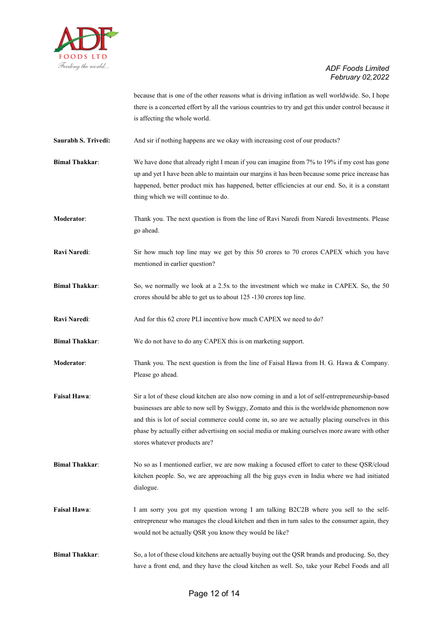

because that is one of the other reasons what is driving inflation as well worldwide. So, I hope there is a concerted effort by all the various countries to try and get this under control because it is affecting the whole world.

**Saurabh S. Trivedi:** And sir if nothing happens are we okay with increasing cost of our products?

**Bimal Thakkar:** We have done that already right I mean if you can imagine from 7% to 19% if my cost has gone up and yet I have been able to maintain our margins it has been because some price increase has happened, better product mix has happened, better efficiencies at our end. So, it is a constant thing which we will continue to do.

**Moderator**: Thank you. The next question is from the line of Ravi Naredi from Naredi Investments. Please go ahead.

**Ravi Naredi:** Sir how much top line may we get by this 50 crores to 70 crores CAPEX which you have mentioned in earlier question?

**Bimal Thakkar:** So, we normally we look at a 2.5x to the investment which we make in CAPEX. So, the 50 crores should be able to get us to about 125 -130 crores top line.

**Ravi Naredi:** And for this 62 crore PLI incentive how much CAPEX we need to do?

**Bimal Thakkar:** We do not have to do any CAPEX this is on marketing support.

**Moderator:** Thank you. The next question is from the line of Faisal Hawa from H. G. Hawa & Company. Please go ahead.

- **Faisal Hawa**: Sir a lot of these cloud kitchen are also now coming in and a lot of self-entrepreneurship-based businesses are able to now sell by Swiggy, Zomato and this is the worldwide phenomenon now and this is lot of social commerce could come in, so are we actually placing ourselves in this phase by actually either advertising on social media or making ourselves more aware with other stores whatever products are?
- **Bimal Thakkar:** No so as I mentioned earlier, we are now making a focused effort to cater to these QSR/cloud kitchen people. So, we are approaching all the big guys even in India where we had initiated dialogue.
- **Faisal Hawa:** I am sorry you got my question wrong I am talking B2C2B where you sell to the selfentrepreneur who manages the cloud kitchen and then in turn sales to the consumer again, they would not be actually QSR you know they would be like?
- **Bimal Thakkar:** So, a lot of these cloud kitchens are actually buying out the QSR brands and producing. So, they have a front end, and they have the cloud kitchen as well. So, take your Rebel Foods and all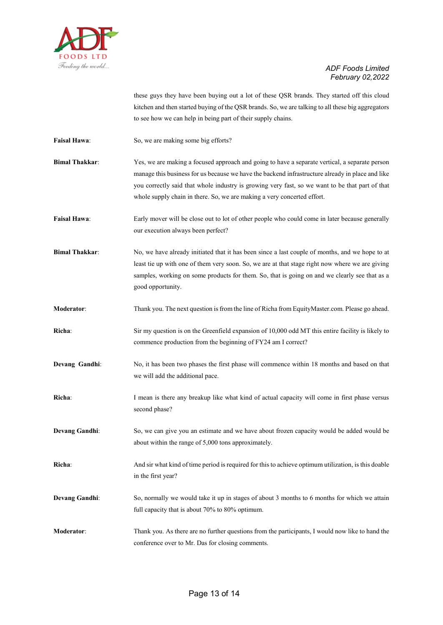

these guys they have been buying out a lot of these QSR brands. They started off this cloud kitchen and then started buying of the QSR brands. So, we are talking to all these big aggregators to see how we can help in being part of their supply chains.

- Faisal Hawa: So, we are making some big efforts?
- **Bimal Thakkar**: Yes, we are making a focused approach and going to have a separate vertical, a separate person manage this business for us because we have the backend infrastructure already in place and like you correctly said that whole industry is growing very fast, so we want to be that part of that whole supply chain in there. So, we are making a very concerted effort.

**Faisal Hawa:** Early mover will be close out to lot of other people who could come in later because generally our execution always been perfect?

- **Bimal Thakkar:** No, we have already initiated that it has been since a last couple of months, and we hope to at least tie up with one of them very soon. So, we are at that stage right now where we are giving samples, working on some products for them. So, that is going on and we clearly see that as a good opportunity.
- **Moderator**: Thank you. The next question is from the line of Richa from EquityMaster.com. Please go ahead.
- **Richa**: Sir my question is on the Greenfield expansion of 10,000 odd MT this entire facility is likely to commence production from the beginning of FY24 am I correct?
- **Devang Gandhi:** No, it has been two phases the first phase will commence within 18 months and based on that we will add the additional pace.
- **Richa:** I mean is there any breakup like what kind of actual capacity will come in first phase versus second phase?
- **Devang Gandhi**: So, we can give you an estimate and we have about frozen capacity would be added would be about within the range of 5,000 tons approximately.
- **Richa**: And sir what kind of time period is required for this to achieve optimum utilization, is this doable in the first year?
- **Devang Gandhi:** So, normally we would take it up in stages of about 3 months to 6 months for which we attain full capacity that is about 70% to 80% optimum.
- **Moderator**: Thank you. As there are no further questions from the participants, I would now like to hand the conference over to Mr. Das for closing comments.